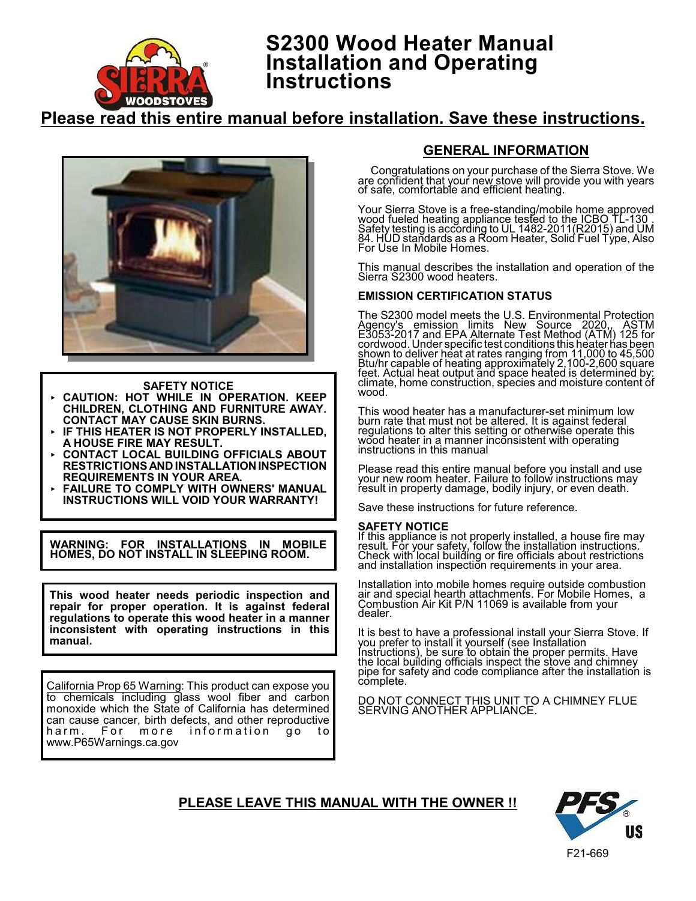

# **S2300 Wood Heater Manual Installation and Operating Instructions**

# **Please read this entire manual before installation. Save these instructions.**



- **SAFETY NOTICE CAUTION: HOT WHILE IN OPERATION. KEEP CHILDREN, CLOTHING AND FURNITURE AWAY. CONTACT MAY CAUSE SKIN BURNS.**
- **IF THIS HEATER IS NOT PROPERLY INSTALLED, A HOUSE FIRE MAY RESULT.**
- **CONTACT LOCAL BUILDING OFFICIALS ABOUT RESTRICTIONS AND INSTALLATION INSPECTION REQUIREMENTS IN YOUR AREA.**
- **FAILURE TO COMPLY WITH OWNERS' MANUAL INSTRUCTIONS WILL VOID YOUR WARRANTY!**

**WARNING: FOR INSTALLATIONS IN MOBILE HOMES, DO NOT INSTALL IN SLEEPING ROOM.**

**This wood heater needs periodic inspection and repair for proper operation. It is against federal regulations to operate this wood heater in a manner inconsistent with operating instructions in this manual.**

California Prop 65 Warning: This product can expose you to chemicals including glass wool fiber and carbon monoxide which the State of California has determined can cause cancer, birth defects, and other reproductive<br>harm. For more information go to harm. For more information go to www.P65Warnings.ca.gov

# **GENERAL INFORMATION**

Congratulations on your purchase of the Sierra Stove. We are confident that your new stove will provide you with years of safe, comfortable and efficient heating.

Your Sierra Stove is a free-standing/mobile home approved wood fueled heating appliance tested to the ICBO TL-130 . Safety testing is according to UL 1482-2011(R2015) and UM 84. HUD standards as a Room Heater, Solid Fuel Type, Also For Use In Mobile Homes.

This manual describes the installation and operation of the Sierra S2300 wood heaters.

# **EMISSION CERTIFICATION STATUS**

The S2300 model meets the U.S. Environmental Protection Agency's emission limits New Source 2020,, ASTM E3053-2017 and EPA Alternate Test Method (ATM) 125 for cordwood. Under specific test conditions this heater has been shown to deliver heat at rates ranging from 11,000 to 45,500 Btu/hr capable of heating approximately 2,100-2,600 square feet. Actual heat output and space heated is determined by: climate, home construction, species and moisture content of wood.

This wood heater has a manufacturer-set minimum low burn rate that must not be altered. It is against federal regulations to alter this setting or otherwise operate this wood heater in a manner inconsistent with operating instructions in this manual

Please read this entire manual before you install and use your new room heater. Failure to follow instructions may result in property damage, bodily injury, or even death.

Save these instructions for future reference.

#### **SAFETY NOTICE**

If this appliance is not properly installed, a house fire may result. For your safety, follow the installation instructions. Check with local building or fire officials about restrictions and installation inspection requirements in your area.

Installation into mobile homes require outside combustion air and special hearth attachments. For Mobile Homes, a Combustion Air Kit P/N 11069 is available from your dealer.

It is best to have a professional install your Sierra Stove. If you prefer to install it yourself (see Installation Instructions), be sure to obtain the proper permits. Have the local building officials inspect the stove and chimney pipe for safety and code compliance after the installation is complete.

DO NOT CONNECT THIS UNIT TO A CHIMNEY FLUE SERVING ANOTHER APPLIANCE.

# **PLEASE LEAVE THIS MANUAL WITH THE OWNER !!**

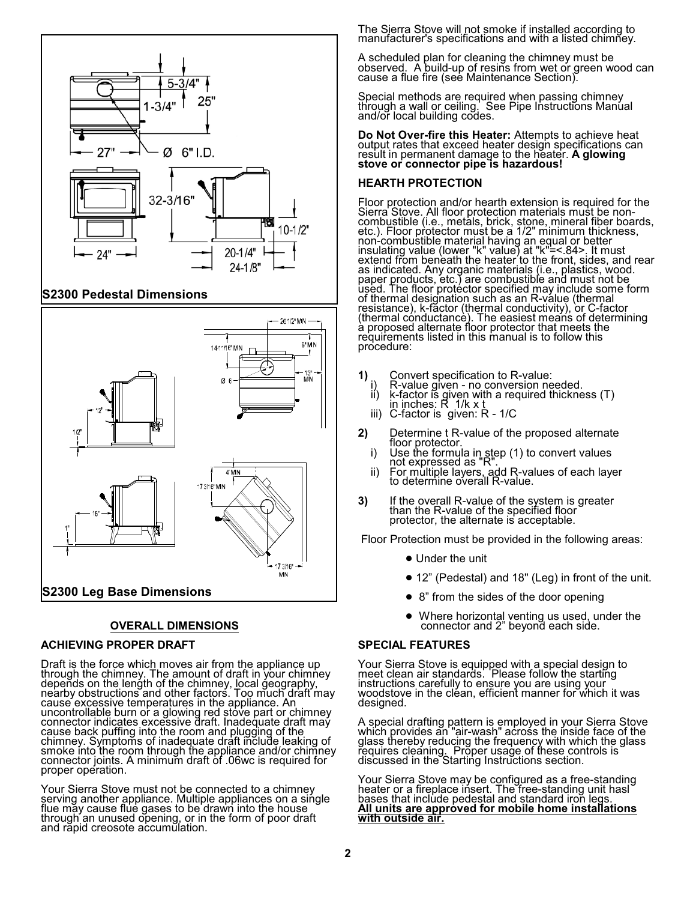

# **S2300 Pedestal Dimensions**



# **OVERALL DIMENSIONS**

#### **ACHIEVING PROPER DRAFT**

Draft is the force which moves air from the appliance up through the chimney. The amount of draft in your chimney depends on the length of the chimney, local geography, nearby obstructions and other factors. Too much draft may cause excessive temperatures in the appliance. An uncontrollable burn or a glowing red stove part or chimney connector indicates excessive draft. Inadequate draft may cause back puffing into the room and plugging of the chimney. Symptoms of inadequate draft include leaking of smoke into the room through the appliance and/or chimney connector joints. A minimum draft of .06wc is required for proper operation.

Your Sierra Stove must not be connected to a chimney serving another appliance. Multiple appliances on a single flue may cause flue gases to be drawn into the house through an unused opening, or in the form of poor draft and rapid creosote accumulation.

The Sierra Stove will not smoke if installed according to manufacturer's specifications and with a listed chimney.

A scheduled plan for cleaning the chimney must be observed. A build-up of resins from wet or green wood can cause a flue fire (see Maintenance Section).

Special methods are required when passing chimney through a wall or ceiling. See Pipe Instructions Manual and/or local building codes.

**Do Not Over-fire this Heater:** Attempts to achieve heat<br>output rates that exceed heater design specifications can result in permanent damage to the heater. **A glowing stove or connector pipe is hazardous!**

# **HEARTH PROTECTION**

Floor protection and/or hearth extension is required for the Sierra Stove. All floor protection materials must be noncombustible (i.e., metals, brick, stone, mineral fiber boards, etc.). Floor protector must be a 1/2" minimum thickness, non-combustible material having an equal or better insulating value (lower "k" value) at "k"=<.84>. It must extend from beneath the heater to the front, sides, and rear as indicated. Any organic materials (i.e., plastics, wood. paper products, etc.) are combustible and must not be used. The floor protector specified may include some form of thermal designation such as an R-value (thermal resistance), k-factor (thermal conductivity), or C-factor (thermal conductance). The easiest means of determining a proposed alternate floor protector that meets the requirements listed in this manual is to follow this procedure:

- 
- **1)** Convert specification to R-value: i) R-value given no conversion needed. ii) k-factor is given with a required thickness (T) in inches: R 1/k x t
	- iii) C-factor is given: R 1/C
- **2)** Determine t R-value of the proposed alternate
	- Floor Use the formula in step (1) to convert values<br>not expressed as "R".<br>ii) For multiple layers, add R-values of each layer<br>to determine overall R-value.
	-
- **3)** If the overall R-value of the system is greater than the R-value of the specified floor protector, the alternate is acceptable.

Floor Protection must be provided in the following areas:

- Under the unit
- ! 12" (Pedestal) and 18" (Leg) in front of the unit.
- 8" from the sides of the door opening
- Where horizontal venting us used, under the connector and 2" beyond each side.

### **SPECIAL FEATURES**

Your Sierra Stove is equipped with a special design to meet clean air standards. Please follow the starting instructions carefully to ensure you are using your woodstove in the cléan, efficient manner for which it was designed.

A special drafting pattern is employed in your Sierra Stove which provides an "air-wash" across the inside face of the glass thereby reducing the frequency with which the glass requires cleaning. Proper usage of these controls is discussed in the Starting Instructions section.

Your Sierra Stove may be configured as a free-standing heater or a fireplace insert. The free-standing unit hasl bases that include pedestal and standard iron legs. **All units are approved for mobile home installations with outside air.**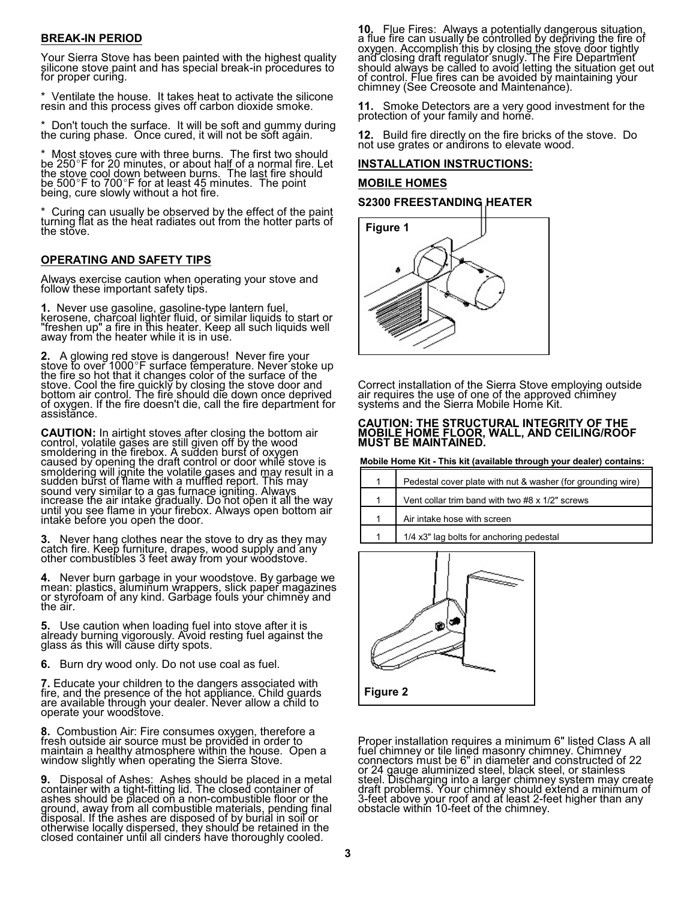# **BREAK-IN PERIOD**

Your Sierra Stove has been painted with the highest quality silicone stove paint and has special break-in procedures to for proper curing.

\* Ventilate the house. It takes heat to activate the silicone resin and this process gives off carbon dioxide smoke.

Don't touch the surface. It will be soft and gummy during the curing phase. Once cured, it will not be soft again.

Most stoves cure with three burns. The first two should be 250°F for 20 minutes, or about half of a normal fire. Let<br>the stove cool down between burns. The last fire should be 500-F to 700-F for at least 45 minutes. The point being, cure slowly without a hot fire.

Curing can usually be observed by the effect of the paint turning flat as the heat radiates out from the hotter parts of the stove.

# **OPERATING AND SAFETY TIPS**

Always exercise caution when operating your stove and follow these important safety tips.

**1.** Never use gasoline, gasoline-type lantern fuel, kerosene, charcoal lighter fluid, or similar liquids to start or "freshen up" a fire in this heater. Keep all such liquids well away from the heater while it is in use.

**2.** A glowing red stove is dangerous! Never fire your<br>stove to over 1000°F surface temperature. Never stoke up<br>the fire so hot that it changes color of the surface of the stove. Cool the fire quickly by closing the stove door and bottom air control. The fire should die down once deprived of oxygen. If the fire doesn't die, call the fire department for assistance.

**CAUTION:** In airtight stoves after closing the bottom air<br>control, volatile gases are still given off by the wood smoldering in the firebox. A sudden burst of oxygen caused by opening the draft control or door while stove is smoldering will ignite the volatile gases and may result in a sudden burst of flame with a muffled report. This may sound very similar to a gas furnace igniting. Always increase the air intake gradually. Do not open it all the way until you see flame in yŏur firebox. Always open bottom air intake before you open the door.

**3.** Never hang clothes near the stove to dry as they may catch fire. Keep furniture, drapes, wood supply and any other combustibles 3 feet away from your woodstove.

**4.** Never burn garbage in your woodstove. By garbage we mean: plastics, aluminum wrappers, slick paper magazines or styrofoam of any kind. Garbage fouls your chimney and the air.

**5.** Use caution when loading fuel into stove after it is already burning vigorously. Avoid resting fuel against the glass ás this wĭll căuse diŕty spots.

**6.** Burn dry wood only. Do not use coal as fuel.

**7.** Educate your children to the dangers associated with fire, and the presence of the hot appliance. Child guards are available through your dealer. Never allow a child to operate your woodstove.

**8.** Combustion Air: Fire consumes oxygen, therefore a fresh outside air source must be provided in order to maintain a healthy atmosphere within the house. Open a window slightly when operating the Sierra Stove.

**9.** Disposal of Ashes: Ashes should be placed in a metal container with a tight-fitting lid. The closed container of ashes should be placed on a non-combustible floor or the ground, away from all combustible materials, pending final disposal. If the ashes are disposed of by burial in soil or otherwise locally dispersed, they should be retained in the closed container until all cinders have thoroughly cooled.

**10.** Flue Fires: Always a potentially dangerous situation,<br>a flue fire can usually be controlled by depriving the fire of oxygen. Accomplish this by closin<u>g t</u>he <u>s</u>tove door tightly and closing draft regulator snugly. The Fire Department should always be called to avoid letting the situation get out of control. Flue fires can be avoided by maintaining your chimney (See Creosote and Maintenance).

**11.** Smoke Detectors are a very good investment for the protection of your family and home.

**12.** Build fire directly on the fire bricks of the stove. Do not use grates or andirons to elevate wood.

### **INSTALLATION INSTRUCTIONS:**

#### **MOBILE HOMES**

#### **S2300 FREESTANDING HEATER**



Correct installation of the Sierra Stove employing outside air requires the use of one of the approved chimney systems and the Sierra Mobile Home Kit.

#### **CAUTION: THE STRUCTURAL INTEGRITY OF THE MOBILE HOME FLOOR, WALL, AND CEILING/ROOF MUST BE MAINTAINED.**

**Mobile Home Kit - This kit (available through your dealer) contains:**

| 1 | Pedestal cover plate with nut & washer (for grounding wire) |
|---|-------------------------------------------------------------|
| 1 | Vent collar trim band with two #8 x 1/2" screws             |
| 1 | Air intake hose with screen                                 |
| 1 | 1/4 x3" lag bolts for anchoring pedestal                    |



Proper installation requires a minimum 6" listed Class A all fuel chimney or tile lined masonry chimney. Chimney connectors must be 6" in diameter and constructed of 22 or 24 gauge aluminized steel, black steel, or stainless steel. Discharging into a larger chimney system may create draft problems. Your chimney should extend a minimum of 3-feet above your roof and at least 2-feet higher than any obstacle within 10-feet of the chimney.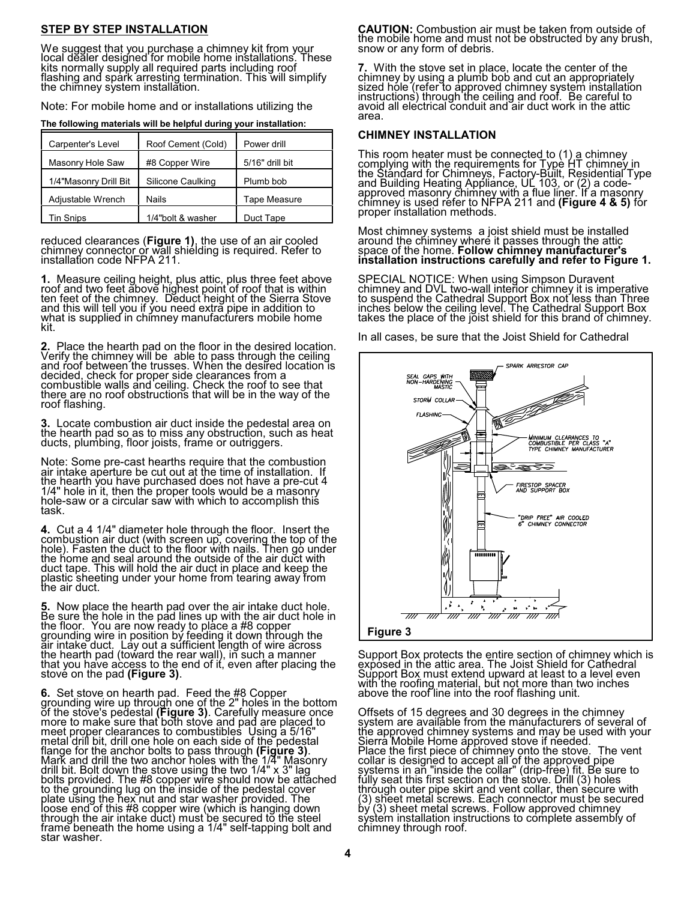## **STEP BY STEP INSTALLATION**

We suggest that you purchase a chimney kit from your local dealer designed for mobile home installations. These kits normally supply all required parts including roof flashing and spark arresting termination. This will simplify the chimney system installation.

Note: For mobile home and or installations utilizing the

**The following materials will be helpful during your installation:**

| Carpenter's Level     | Roof Cement (Cold) | Power drill         |
|-----------------------|--------------------|---------------------|
| Masonry Hole Saw      | #8 Copper Wire     | 5/16" drill bit     |
| 1/4"Masonry Drill Bit | Silicone Caulking  | Plumb bob           |
| Adjustable Wrench     | <b>Nails</b>       | <b>Tape Measure</b> |
| Tin Snips             | 1/4"bolt & washer  | Duct Tape           |

reduced clearances (**Figure 1)**, the use of an air cooled<br>chimney connecto<u>r o</u>r wall shielding is required. Refer to installation code NFPA 211.

**1.** Measure ceiling height, plus attic, plus three feet above roof and two feet above highest point of roof that is within ten feet of the chimney. Deduct height of the Sierra Stove and this will tell you if you need extra pipe in addition to what is supplied in chimney manufacturers mobile home kit.

**2.** Place the hearth pad on the floor in the desired location. Verify the chimney will be able to pass through the ceiling and roof between the trusses. When the desired location is decided, check for proper side clearances from a combustible walls and ceiling. Check the roof to see that there are no roof obstructions that will be in the way of the roof flashing.

**3.** Locate combustion air duct inside the pedestal area on the hearth pad so as to miss any obstruction, such as heat ducts, plumbing, floor joists, frame or outriggers.

Note: Some pre-cast hearths require that the combustion air intake aperture be cut out at the time of installation. If the hearth you have purchased does not have a pre-cut 4 1/4" hole in it, then the proper tools would be a masonry hole-saw or a circular saw with which to accomplish this task.

**4.** Cut a 4 1/4" diameter hole through the floor. Insert the combustion air duct (with screen up, covering the top of the hole). Fasten the duct to the floor with nails. Then go under the home and seal around the outside of the air duct with duct tape. This will hold the air duct in place and keep the plastic sheeting under your home from tearing away from the air duct.

**5.** Now place the hearth pad over the air intake duct hole. Be sure the hole in the pad lines up with the air duct hole in the floor. You are now ready to place a #8 copper grounding wire in position by feeding it down through the air intake duct. Lay out a sufficient length of wire across the hearth pad (toward the rear wall), in such a manner that you have access to the end of it, even after placing the stove on the pad **(Figure 3)**.

**6.** Set stove on hearth pad. Feed the #8 Copper grounding wire up through one of the 2" holes in the bottom of the stove's pedestal **(Figure 3)**. Carefully measure once more to make sure that both stove and pad are placed to meet proper clearances to combustibles Using a 5/16" metal drill bit, drill one hole on each side of the pedestal flange for the anchor bolts to pass through **(Figure 3)**. Mark and drill the two anchor holes with the 1/4" Masonry drill bit. Bolt down the stove using the two 1/4" x 3" lag bolts provided. The #8 copper wire should now be attached to the grounding lug on the inside of the pedestal cover plate using the hex nut and star washer provided. The loose end of this #8 copper wire (which is hanging down through the air intake duct) must be secured to the steel frame beneath the home using a 1/4" self-tapping bolt and star washer.

**CAUTION:** Combustion air must be taken from outside of the mobile home and must not be obstructed by any brush, snow or any form of debris.

**7.** With the stove set in place, locate the center of the chimney by using a plumb bob and cut an appropriately sized hole (refer to approved chimney system installation instructions) through the ceiling and roof. Be careful to avoid all electrical conduit and air duct work in the attic area.

# **CHIMNEY INSTALLATION**

This room heater must be connected to  $(1)$  a chimney complying with the requirements for Type HT chimne<u>y i</u>n the Standard for Chimneys, Factory-Built, Residential Type and Building Heating Appliance, UL 103, or (2) a codeapproved masonry chimney with a flue liner. If a masonry chimney is used refer to NFPA 211 and **(Figure 4 & 5)** for proper installation methods.

Most chimney systems a joist shield must be installed around the chimney where it passes through the attic space of the home. **Follow chimney manufacturer's installation instructions carefully and refer to Figure 1.**

SPECIAL NOTICE: When using Simpson Duravent chimney and DVL two-wall interior chimney it is imperative to suspend the Cathedral Sup<u>po</u>rt Box not less than T<u>h</u>ree inches below the ceiling level. The Cathedral Support Box takes the place of the jŏist shield for this brand of chimney.

In all cases, be sure that the Joist Shield for Cathedral



Support Box protects the entire section of chimney which is exposed in the attic area. The Joist Shield for Cathedral Support Box must extend upward at least to a level even with the roofing material, but not more than two inches above the roof line into the roof flashing unit.

Offsets of 15 degrees and 30 degrees in the chimney system are available from the manufacturers of several of the approved chimney systems and may be used with your Sierra Mobile Home approved stove if needed. Place the first piece of chimney onto the stove. The vent collar is designed to accept all of the approved pipe systems in an "inside the collar" (drip-free) fit. Be sure to fully seat this first section on the stove. Drill (3) holes through outer pipe skirt and vent collar, then secure with (3) sheet metal screws. Each connector must be secured by (3) sheet metal screws. Follow approved chimney system installation instructions to complete assembly of chimney through roof.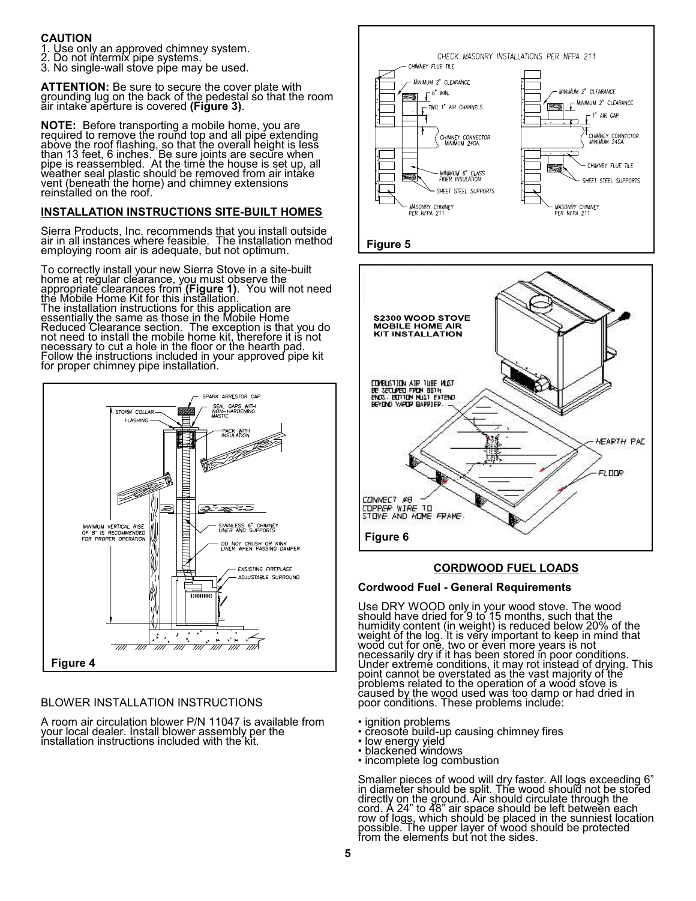# **CAUTION**

1. Use only an approved chimney system.

- 2. Do not intermix pipe systems.
- 3. No single-wall stove pipe may be used.

**ATTENTION:** Be sure to secure the cover plate with grounding lug on the back of the pedestal so that the room air intake aperture is covered **(Figure 3)**.

**NOTE:** Before transporting a mobile home, you are required to remove the round top and all pipe extending above the roof flashing, so that the overall height is less than 13 feet, 6 inches. Be sure joints are secure when pipe is reassembled. At the time the house is set up, all weather seal plastic should be removed from air intake vent (beneath the home) and chimney extensions reinstalled on the roof.

# **INSTALLATION INSTRUCTIONS SITE-BUILT HOMES**

Sierra Products, Inc. recommends that you install outside air in all instances where feasible. The installation method employing room air is adequate, but not optimum.

To correctly install your new Sierra Stove in a site-built home at regular clearance, yo<u>u</u> must observe the appropriate clearances from **(Figure 1)**. You will not need the Mobile Home Kit for this installation. The installation instructions for this application are essentially the same as those in the Mobile Home Reduced Clearance section. The exception is that you do not need to install the mobile home kit, therefore it is not necessary to cut a hole in the floor or the hearth pad. Follow the instructions included in your approved pipe kit for proper chimney pipe installation.



# BLOWER INSTALLATION INSTRUCTIONS

A room air circulation blower P/N 11047 is available from your local dealer. Install blower assembly per the installation instructions included with the kit.





# **CORDWOOD FUEL LOADS**

#### **Cordwood Fuel - General Requirements**

Use DRY WOOD only in your wood stove. The wood should have dried for 9 to 15 months, such that the humidity content (in weight) is reduced below 20% of the weight of the log. It is very important to keep in mind that wood cut for one, two or éven more years is not necessarily dry if it has been stored in poor conditions. Under extreme conditions, it may rot instead of drying. This point cannot be overstated as the vast majority of the problems related to the operation of a wood stove is caused by the wood used was too damp or had dried in poor conditions. These problems include:

• ignition problems

- creosote build-up causing chimney fires
- low energy yield
- blackened windows
- incomplete log combustion

Smaller pieces of wood will dry faster. All logs exceeding 6" in diameter should be split. The wood should not be stored directly on the ground. Air should circulate through the cord. A 24" to 48" air space should be left between each row of logs, which should be placed in the sunniest location possible. The upper layer of wood should be protected from the elements but not the sides.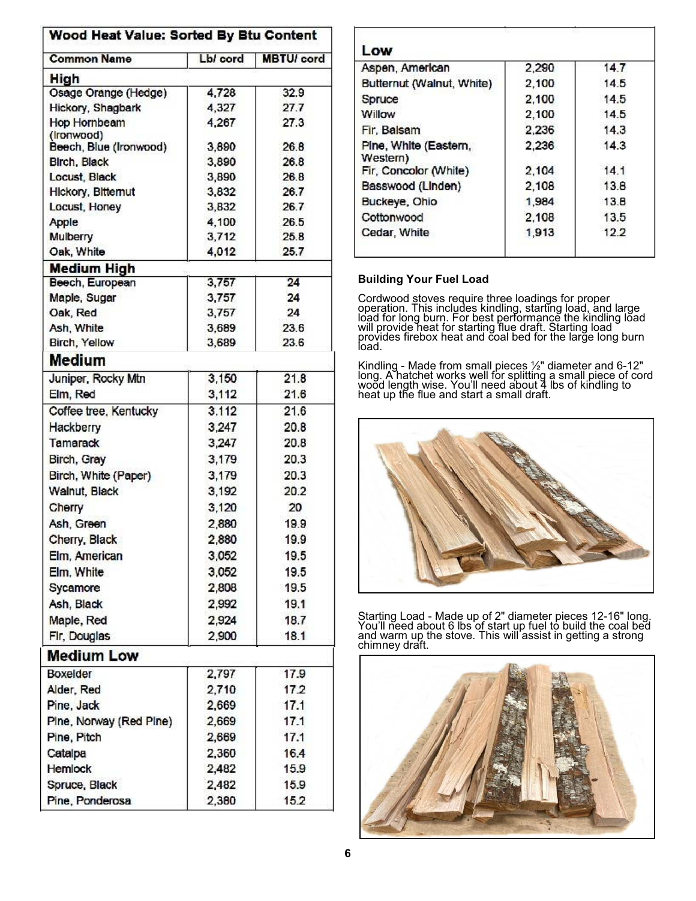# Wood Heat Value: Sorted By Btu Content

| <b>Common Name</b>       | Lb/ cord       | <b>MBTU/</b> cord |  |
|--------------------------|----------------|-------------------|--|
| High                     |                |                   |  |
| Osage Orange (Hedge)     | 4,728          | 32.9              |  |
| Hickory, Shagbark        | 4,327          | 27.7              |  |
| Hop Hornbeam             | 4,267          | 27.3              |  |
| (Ironwood)               |                |                   |  |
| Beech, Blue (Ironwood)   | 3,890          | 26.8              |  |
| <b>Birch, Black</b>      | 3,890          | 26.8              |  |
| Locust, Black            | 3,890          | 26.8              |  |
| Hickory, Bitternut       | 3,832          | 26.7              |  |
| Locust, Honey            | 3,832          | 26.7              |  |
| Apple                    | 4,100          | 26.5              |  |
| Mulberry                 | 3,712          | 25.8              |  |
| Oak, White               | 4,012          | 25.7              |  |
| <b>Medium High</b>       |                | 24                |  |
| Beech, European          | 3,757<br>3,757 | 24                |  |
| Maple, Sugar<br>Oak, Red | 3,757          | 24                |  |
| Ash, White               | 3,689          | 23.6              |  |
| Birch, Yellow            | 3,689          | 23.6              |  |
| Medium                   |                |                   |  |
|                          |                |                   |  |
| Juniper, Rocky Mtn       | 3,150          | 21.8              |  |
| Elm, Red                 | 3,112          | 21.6              |  |
| Coffee tree, Kentucky    | 3.112          | 21.6              |  |
| Hackberry                | 3,247          | 20.8              |  |
| Tamarack                 | 3,247          | 20.8              |  |
| Birch, Gray              | 3,179          | 20.3              |  |
| Birch, White (Paper)     | 3,179          | 20.3              |  |
| Walnut, Black            | 3,192          | 20.2              |  |
| Cherry                   | 3,120          | 20                |  |
| Ash, Green               | 2,880          | 19.9              |  |
| Cherry, Black            | 2,880          | 19.9              |  |
| Elm, American            | 3,052          | 19.5              |  |
| Elm, White               | 3,052          | 19.5              |  |
| Sycamore                 | 2,808          | 19.5              |  |
| Ash, Black               | 2,992          | 19.1              |  |
| Maple, Red               | 2,924          | 18.7              |  |
| Fir, Douglas             | 2,900          | 18.1              |  |
| <b>Medium Low</b>        |                |                   |  |
| Boxelder                 | 2,797          | 17.9              |  |
| Alder, Red               | 2,710          | 17.2              |  |
| Pine, Jack               | 2,669          | 17.1              |  |
| Pine, Norway (Red Pine)  | 2,669          | 17.1              |  |
| Pine, Pitch              | 2,669          | 17.1              |  |
| Catalpa                  | 2,360          | 16.4              |  |
| <b>Hemlock</b>           | 2,482          | 15.9              |  |
|                          |                |                   |  |
| Spruce, Black            | 2,482          | 15.9              |  |
| Pine, Ponderosa          | 2,380          | 15.2              |  |

| Aspen, American                   | 2,290 | 14.7 |
|-----------------------------------|-------|------|
| Butternut (Walnut, White)         | 2,100 | 14.5 |
| Spruce                            | 2,100 | 14.5 |
| Willow                            | 2.100 | 14.5 |
| Fir. Balsam                       | 2.236 | 14.3 |
| Pine, White (Eastern,<br>Western) | 2,236 | 14.3 |
| Fir, Concolor (White)             | 2,104 | 14.1 |
| Basswood (Linden)                 | 2,108 | 13.8 |
| Buckeye, Ohio                     | 1,984 | 13.8 |
| Cottonwood                        | 2.108 | 13.5 |
| Cedar, White                      | 1,913 | 122  |

# **Building Your Fuel Load**

Cordwood stoves require three loadings for proper operation. This includes kindling, starting load, and large load for long burn. For best performance the kindling load will provide heat for starting flue draft. Starting load provides firebox heat and coal bed for the large long burn load.

Kindling - Made from small pieces ½" diameter and 6-12" long. A hatchet works well for splitting a small piece of cord wood length wise. You'll need about 4 lbs of kindling to heat up the flue and start a small draft.



Starting Load - Made up of 2" diameter pieces 12-16" long. You'll need about 6 lbs of start up fuel to build the coal bed and warm up the stove. This will assist in getting a strong chimney draft.

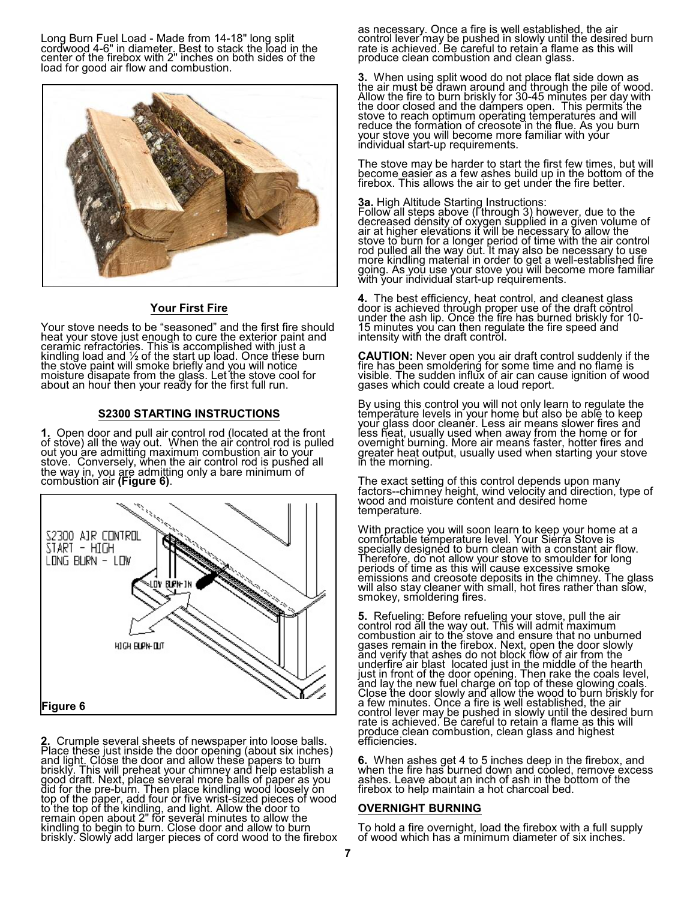Long Burn Fuel Load - Made from 14-18" long split cordwood 4-6" in diameter. Best to stack the load in the center of the firebox with 2" inches on both sides of the load for good air flow and combustion.



#### **Your First Fire**

Your stove needs to be "seasoned" and the first fire should heat your stove just enough to cure the exterior paint and ceramic refractories. This is accomplished with just a kindling load and 1/2 of the start up load. Once these burn the stove paint will smoke briefly and you will notice moisture disapate from the glass. Let the stove cool for about an hour then your ready for the first full run.

#### **S2300 STARTING INSTRUCTIONS**

**1.** Open door and pull air control rod (located at the front of stove) all the way out. When the air control rod is pulled out you are admitting maximum combustion air to your stove. Conversely, when the air control rod is pushed all the way in, you are admitting only a bare minimum of combustion air **(Figure 6)**.



**2.** Crumple several sheets of newspaper into loose balls. Place these just inside the door opening (about six inches) and ligh<u>t.</u> Close the door and allow these papers to burn briskly. This will preheat your chimney and help establish a good draft. Next, place several more balls of paper as you did for the pre-burn. Then place kindling wood loosely on top of the paper, add four or five wrist-sized pieces of wood to the top of the kindling, and light. Allow the door to remain open about 2" for several minutes to allow the kindling to begin to burn. Close door and allow to burn briskly. Slowly add larger pieces of cord wood to the firebox as necessary. Once a fire is well established, the air control lever may be pushed in slowly until the desired burn rate is achieved. Be careful to retain a flame as this will produce clean combustion and clean glass.

**3.** When using split wood do not place flat side down as the air must be drawn around and through the pile of wood. Allow the fire to burn briskly for 30-45 minutes per day with the door closed and the dampers open. This permits the stove to reach optimum operating temperatures and will reduce the formation of creosote in the flue. As you burn your stove you will become more familiar with your individual start-up requirements.

The stove may be harder to start the first few times, but will become easier as a few ashes build up in the bottom of the firebox. This allows the air to get under the fire better.

**3a.** High Altitude Starting Instructions:<br>Follow all steps above (I through 3) however, due to the decreased density of oxygen supplied in a given volume of air at higher elevations it will be necessary to allow the stove to burn for a longer period of time with the air control rod pulled all the way out. It may also be necessary to use more kindling material in order to get a well-established fire going. As yoŭ use your stove you will become more familiar with your individual start-up requirements.

**4.** The best efficiency, heat control, and cleanest glass door is achieved through proper use of the draft control under the ash lip. Once the fire has burned briskly for 10- 15 minutes you can then regulate the fire speed and intensity with the draft control.

**CAUTION:** Never open you air draft control suddenly if the fire has been smoldering for some time and no flame is visible. The sudden influx of air can cause ignition of wood gases which could create a loud report.

By using this control you will not only learn to regulate the temperature levels in your home but also be able to keep your glass door cleaner. Less air means slower fires and less heat, usually used when away from the home or for overnight burning. More air means faster, hotter fires and greater heat output, usually used when starting your stove in the morning.

The exact setting of this control depends upon many factors--chimney height, wind velocity and direction, type of wood and moisture content and desired home temperature.

With practice you will soon learn to keep your home at a comfortable temperature level. Your Sierra Stove is specially designed to burn clean with a constant air flow. Therefore, do not allow your stove to smoulder for long periods of time as this will cause excessive smok<u>e</u> emissions and creosote deposits in the chimney. The glass will also stay cleaner with small, hot fires rather than slow, smokey, smoldering fires.

**5.** Refueling: Before refueling your stove, pull the air control rod all the way out. This will admit maximum combustion air to the stove and ensure that no unburned gases remain in the firebox. Next, open the door slowly and verify that ashes do not block flow of air from the underfire air blast located just in the middle of the hearth just in front of the door opening. Then rake the coals level, and lay the new fuel charge on top of these glowing coals. Close the door slowly and allow the wood to burn briskly for a few minutes. Once a fire is well established, the air control lever may be pushed in slowly until the desired burn rate is achieved. Be careful to retain a flame as this will produce clean combustion, clean glass and highest efficiencies.

**6.** When ashes get 4 to 5 inches deep in the firebox, and when the fire has burned down and cooled, remove excess ashes. Leave about an inch of ash in the bottom of the firebox to help maintain a hot charcoal bed.

#### **OVERNIGHT BURNING**

To hold a fire overnight, load the firebox with a full supply of wood which has a minimum diameter of six inches.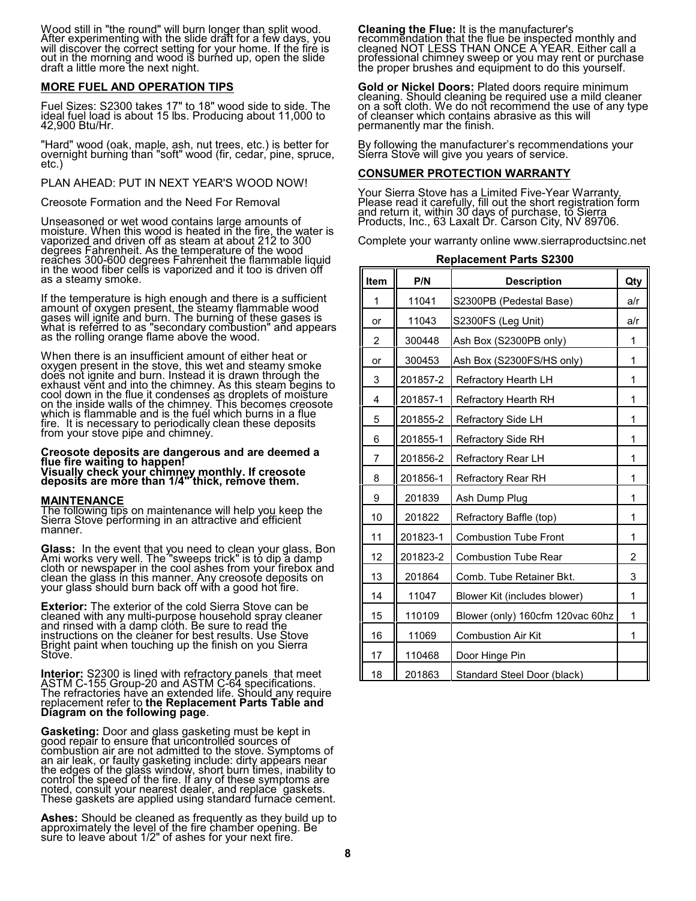Wood still in "the round" will burn longer than split wood. After experimenting with the slide draft for a few days, you will discover the correct setting for your home. If the fire is out in the morning and wood is burned up, open the slide draft a little more the next night.

## **MORE FUEL AND OPERATION TIPS**

Fuel Sizes: S2300 takes 17" to 18" wood side to side. The ideal fuel load is about 15 lbs. Producing about 11,000 to 42,900 Btu/Hr.

"Hard" wood (oak, maple, ash, nut trees, etc.) is better for overnight burning than "soft" wood (fir, cedar, pine, spruce, etc.)

#### PLAN AHEAD: PUT IN NEXT YEAR'S WOOD NOW!

Creosote Formation and the Need For Removal

Unseasoned or wet wood contains large amounts of moisture. When this wood is heated in the fire, the water is vaporized and driven off as steam at about 212 to 300 degrees Fahrenheit. As the temperature of the wood reaches 300-600 degrees Fahrenheit the flammable liquid in the wood fiber cells is vaporized and it too is driven off as a steamy smoke.

If the temperature is high enough and there is a sufficient amount of oxygen present<u>, t</u>he steamy flammable wood gases will ignite and burn. The burning of these gases is what is referred to as "secondary combustion" and appears as the rolling orange flame above the wood.

When there is an insufficient amount of either heat or oxygen present in the stove, this wet and steamy smoke does not ignite and burn. Instead it is drawn through the exhaust vent and into the chimney. As this steam begins to cool down in the flue it condenses as droplets of moisture on the inside walls of the chimney. This becomes creosote which is flammable and is the fuel which burns in a flue fire. It is necessary to periodically clean these deposits from your stove pipe and chimney.

#### **Creosote deposits are dangerous and are deemed a flue fire waiting to happen! Visually check your chimney monthly. If creosote**

**deposits are more than 1/4" thick, remove them.**

#### **MAINTENANCE**

The following tips on maintenance will help you keep the Sierra Stove performing in an attractive and efficient manner.

**Glass:** In the event that you need to clean your glass, Bon<br>Ami works very well. The "sweeps trick" is to dip a damp cloth or newspaper in the cool ashes from your firebox and clean the glass in this manner. Any creosote deposits on your glass should burn back off with a good hot fire.

**Exterior:** The exterior of the cold Sierra Stove can be cleaned with any multi-purpose household spray cleaner and rinsed with a damp cloth. Be sure to read the instructions on the cleaner for best results. Use Stove Bright paint when touching up the finish on you Sierra Stove.

**Interior:** S2300 is lined with refractory panels that meet<br><u>A</u>STM C-155 Group-20 and ASTM C-64 specifications. The refractories have an extended life. Should any require replacement refer to **the Replacement Parts Table and Diagram on the following page**.

**Gasketing:** Door and glass gasketing must be kept in good repair to ensure that uncontrolled sources of combustion air are not admitted to the stove. Symptoms of an air leak, or faulty gasketing include: dirty appears near the edges of the glass window, short burn times, inability to control the speed of the fire. If any of these symptoms are <u>n</u>oted, consult your nearest dealer, and replace <sup>'</sup>gaskets. These gaskets are applied using standard furnace cement.

**Ashes:** Should be cleaned as frequently as they build up to<br>approximately the level of the fire chamber opening. Be sure to leave´about 1/2" of ashes for your next fire.`

**Cleaning the Flue:** It is the manufacturer's recommendation that the flue be inspected monthly and cleaned NOT LESS THAN ONCE A YEAR. Either call a professional chimney sweep or you may rent or purchase the proper brushes and equipment to do this yourself.

**Gold or Nickel Doors:** Plated doors require minimum cleaning. Should cleaning be required use a mild cleaner on a soft cloth. We do not recommend the use of any type of cleanser which contains abrasive as this will permanently mar the finish.

By following the manufacturer's recommendations your Sierra Stove will give you years of service.

#### **CONSUMER PROTECTION WARRANTY**

Your Sierra Stove has a Limited Five-Year Warranty. Please read it carefully, fill out the short registration form and return it, within 30 days of purchase, to Sierra Products, Inc., 63 Laxalt Dr. Carson City, NV 89706.

Complete your warranty online www.sierraproductsinc.net

| Item | P/N      | <b>Description</b>               | Qty            |
|------|----------|----------------------------------|----------------|
| 1    | 11041    | S2300PB (Pedestal Base)          | a/r            |
| or   | 11043    | S2300FS (Leg Unit)               | a/r            |
| 2    | 300448   | Ash Box (S2300PB only)           | 1              |
| or   | 300453   | Ash Box (S2300FS/HS only)        | 1              |
| 3    | 201857-2 | Refractory Hearth LH             | 1              |
| 4    | 201857-1 | Refractory Hearth RH             | 1              |
| 5    | 201855-2 | Refractory Side LH               | 1              |
| 6    | 201855-1 | <b>Refractory Side RH</b>        | 1              |
| 7    | 201856-2 | Refractory Rear LH               | 1              |
| 8    | 201856-1 | <b>Refractory Rear RH</b>        | 1              |
| 9    | 201839   | Ash Dump Plug                    | 1              |
| 10   | 201822   | Refractory Baffle (top)          | 1              |
| 11   | 201823-1 | <b>Combustion Tube Front</b>     | 1              |
| 12   | 201823-2 | <b>Combustion Tube Rear</b>      | $\overline{2}$ |
| 13   | 201864   | Comb. Tube Retainer Bkt.         | 3              |
| 14   | 11047    | Blower Kit (includes blower)     | 1              |
| 15   | 110109   | Blower (only) 160cfm 120vac 60hz | 1              |
| 16   | 11069    | <b>Combustion Air Kit</b>        | 1              |
| 17   | 110468   | Door Hinge Pin                   |                |
| 18   | 201863   | Standard Steel Door (black)      |                |

## **Replacement Parts S2300**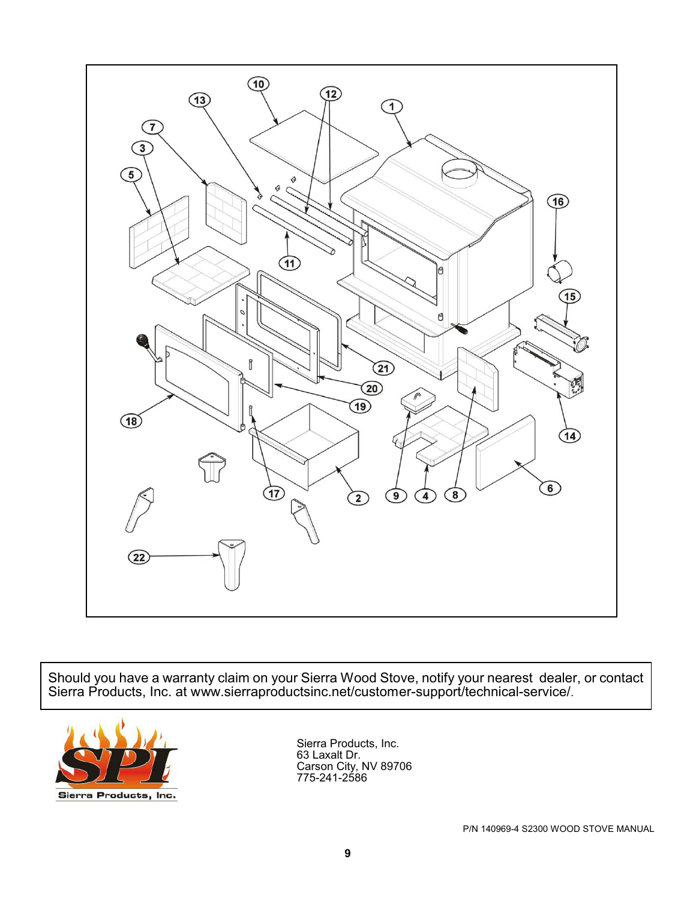

Should you have a warranty claim on your Sierra Wood Stove, notify your nearest dealer, or contact Sierra Products, Inc. at www.sierraproductsinc.net/customer-support/technical-service/.



Sierra Products, Inc. 63 Laxalt Dr. Carson City, NV 89706 775-241-2586